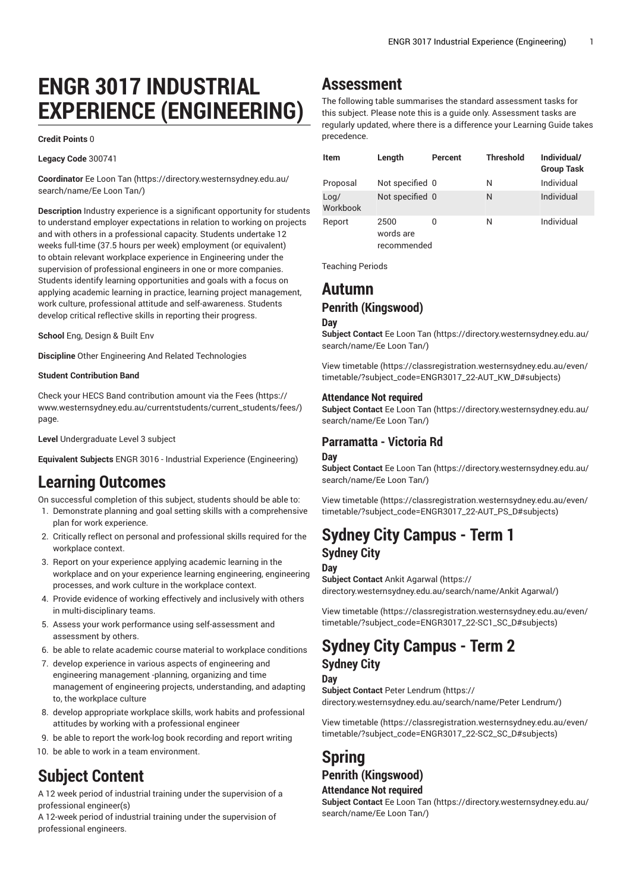# **ENGR 3017 INDUSTRIAL EXPERIENCE (ENGINEERING)**

#### **Credit Points** 0

**Legacy Code** 300741

**Coordinator** Ee [Loon](https://directory.westernsydney.edu.au/search/name/Ee Loon Tan/) Tan [\(https://directory.westernsydney.edu.au/](https://directory.westernsydney.edu.au/search/name/Ee Loon Tan/) [search/name/Ee](https://directory.westernsydney.edu.au/search/name/Ee Loon Tan/) Loon Tan/)

**Description** Industry experience is a significant opportunity for students to understand employer expectations in relation to working on projects and with others in a professional capacity. Students undertake 12 weeks full-time (37.5 hours per week) employment (or equivalent) to obtain relevant workplace experience in Engineering under the supervision of professional engineers in one or more companies. Students identify learning opportunities and goals with a focus on applying academic learning in practice, learning project management, work culture, professional attitude and self-awareness. Students develop critical reflective skills in reporting their progress.

**School** Eng, Design & Built Env

**Discipline** Other Engineering And Related Technologies

#### **Student Contribution Band**

Check your HECS Band contribution amount via the [Fees \(https://](https://www.westernsydney.edu.au/currentstudents/current_students/fees/) [www.westernsydney.edu.au/currentstudents/current\\_students/fees/\)](https://www.westernsydney.edu.au/currentstudents/current_students/fees/) page.

**Level** Undergraduate Level 3 subject

**Equivalent Subjects** ENGR 3016 - Industrial Experience (Engineering)

### **Learning Outcomes**

On successful completion of this subject, students should be able to:

- 1. Demonstrate planning and goal setting skills with a comprehensive plan for work experience.
- 2. Critically reflect on personal and professional skills required for the workplace context.
- 3. Report on your experience applying academic learning in the workplace and on your experience learning engineering, engineering processes, and work culture in the workplace context.
- 4. Provide evidence of working effectively and inclusively with others in multi-disciplinary teams.
- 5. Assess your work performance using self-assessment and assessment by others.
- 6. be able to relate academic course material to workplace conditions
- 7. develop experience in various aspects of engineering and engineering management -planning, organizing and time management of engineering projects, understanding, and adapting to, the workplace culture
- 8. develop appropriate workplace skills, work habits and professional attitudes by working with a professional engineer
- 9. be able to report the work-log book recording and report writing
- 10. be able to work in a team environment.

# **Subject Content**

A 12 week period of industrial training under the supervision of a professional engineer(s)

A 12-week period of industrial training under the supervision of professional engineers.

## **Assessment**

The following table summarises the standard assessment tasks for this subject. Please note this is a guide only. Assessment tasks are regularly updated, where there is a difference your Learning Guide takes precedence.

| <b>Item</b>      | Length                           | Percent | <b>Threshold</b> | Individual/<br><b>Group Task</b> |
|------------------|----------------------------------|---------|------------------|----------------------------------|
| Proposal         | Not specified 0                  |         | Ν                | Individual                       |
| Loa/<br>Workbook | Not specified 0                  |         | N                | Individual                       |
| Report           | 2500<br>words are<br>recommended | 0       | Ν                | Individual                       |

Teaching Periods

### **Autumn Penrith (Kingswood)**

### **Day**

**Subject Contact** Ee [Loon](https://directory.westernsydney.edu.au/search/name/Ee Loon Tan/) Tan [\(https://directory.westernsydney.edu.au/](https://directory.westernsydney.edu.au/search/name/Ee Loon Tan/) [search/name/Ee](https://directory.westernsydney.edu.au/search/name/Ee Loon Tan/) Loon Tan/)

[View timetable](https://classregistration.westernsydney.edu.au/even/timetable/?subject_code=ENGR3017_22-AUT_KW_D#subjects) [\(https://classregistration.westernsydney.edu.au/even/](https://classregistration.westernsydney.edu.au/even/timetable/?subject_code=ENGR3017_22-AUT_KW_D#subjects) [timetable/?subject\\_code=ENGR3017\\_22-AUT\\_KW\\_D#subjects](https://classregistration.westernsydney.edu.au/even/timetable/?subject_code=ENGR3017_22-AUT_KW_D#subjects))

#### **Attendance Not required**

**Subject Contact** Ee [Loon](https://directory.westernsydney.edu.au/search/name/Ee Loon Tan/) Tan [\(https://directory.westernsydney.edu.au/](https://directory.westernsydney.edu.au/search/name/Ee Loon Tan/) [search/name/Ee](https://directory.westernsydney.edu.au/search/name/Ee Loon Tan/) Loon Tan/)

### **Parramatta - Victoria Rd**

#### **Day**

**Subject Contact** Ee [Loon](https://directory.westernsydney.edu.au/search/name/Ee Loon Tan/) Tan [\(https://directory.westernsydney.edu.au/](https://directory.westernsydney.edu.au/search/name/Ee Loon Tan/) [search/name/Ee](https://directory.westernsydney.edu.au/search/name/Ee Loon Tan/) Loon Tan/)

[View timetable](https://classregistration.westernsydney.edu.au/even/timetable/?subject_code=ENGR3017_22-AUT_PS_D#subjects) [\(https://classregistration.westernsydney.edu.au/even/](https://classregistration.westernsydney.edu.au/even/timetable/?subject_code=ENGR3017_22-AUT_PS_D#subjects) [timetable/?subject\\_code=ENGR3017\\_22-AUT\\_PS\\_D#subjects\)](https://classregistration.westernsydney.edu.au/even/timetable/?subject_code=ENGR3017_22-AUT_PS_D#subjects)

## **Sydney City Campus - Term 1 Sydney City**

#### **Day**

**Subject Contact** Ankit [Agarwal \(https://](https://directory.westernsydney.edu.au/search/name/Ankit Agarwal/) [directory.westernsydney.edu.au/search/name/Ankit](https://directory.westernsydney.edu.au/search/name/Ankit Agarwal/) Agarwal/)

[View timetable](https://classregistration.westernsydney.edu.au/even/timetable/?subject_code=ENGR3017_22-SC1_SC_D#subjects) [\(https://classregistration.westernsydney.edu.au/even/](https://classregistration.westernsydney.edu.au/even/timetable/?subject_code=ENGR3017_22-SC1_SC_D#subjects) [timetable/?subject\\_code=ENGR3017\\_22-SC1\\_SC\\_D#subjects](https://classregistration.westernsydney.edu.au/even/timetable/?subject_code=ENGR3017_22-SC1_SC_D#subjects))

### **Sydney City Campus - Term 2 Sydney City**

**Day**

**Subject Contact** Peter [Lendrum \(https://](https://directory.westernsydney.edu.au/search/name/Peter Lendrum/) [directory.westernsydney.edu.au/search/name/Peter](https://directory.westernsydney.edu.au/search/name/Peter Lendrum/) Lendrum/)

[View timetable](https://classregistration.westernsydney.edu.au/even/timetable/?subject_code=ENGR3017_22-SC2_SC_D#subjects) [\(https://classregistration.westernsydney.edu.au/even/](https://classregistration.westernsydney.edu.au/even/timetable/?subject_code=ENGR3017_22-SC2_SC_D#subjects) [timetable/?subject\\_code=ENGR3017\\_22-SC2\\_SC\\_D#subjects](https://classregistration.westernsydney.edu.au/even/timetable/?subject_code=ENGR3017_22-SC2_SC_D#subjects))

# **Spring Penrith (Kingswood)**

#### **Attendance Not required**

**Subject Contact** Ee [Loon](https://directory.westernsydney.edu.au/search/name/Ee Loon Tan/) Tan [\(https://directory.westernsydney.edu.au/](https://directory.westernsydney.edu.au/search/name/Ee Loon Tan/) [search/name/Ee](https://directory.westernsydney.edu.au/search/name/Ee Loon Tan/) Loon Tan/)